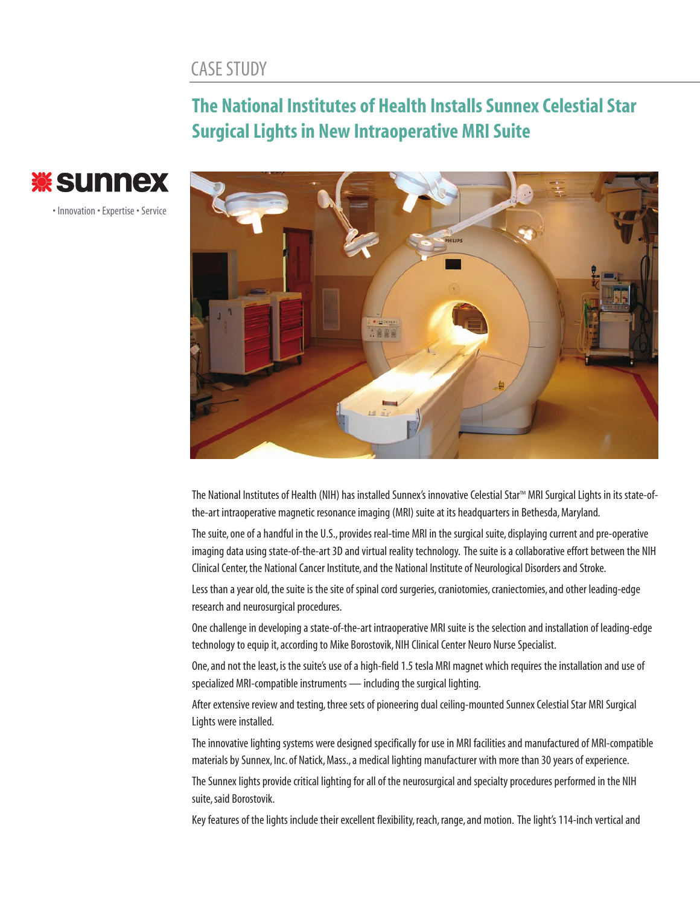## CASE STUDY

## **The National Institutes of Health Installs Sunnex Celestial Star Surgical Lights in New Intraoperative MRI Suite**



• Innovation • Expertise • Service



The National Institutes of Health (NIH) has installed Sunnex's innovative Celestial Star™ MRI Surgical Lights in its state-ofthe-art intraoperative magnetic resonance imaging (MRI) suite at its headquarters in Bethesda, Maryland.

The suite, one of a handful in the U.S., provides real-time MRI in the surgical suite, displaying current and pre-operative imaging data using state-of-the-art 3D and virtual reality technology. The suite is a collaborative effort between the NIH Clinical Center,the National Cancer Institute, and the National Institute of Neurological Disorders and Stroke.

Less than a year old, the suite is the site of spinal cord surgeries, craniotomies, craniectomies, and other leading-edge research and neurosurgical procedures.

One challenge in developing a state-of-the-art intraoperative MRI suite is the selection and installation of leading-edge technology to equip it, according to Mike Borostovik, NIH Clinical Center Neuro Nurse Specialist.

One, and not the least, is the suite's use of a high-field 1.5 tesla MRI magnet which requires the installation and use of specialized MRI-compatible instruments — including the surgical lighting.

After extensive review and testing, three sets of pioneering dual ceiling-mounted Sunnex Celestial Star MRI Surgical Lights were installed.

The innovative lighting systems were designed specifically for use in MRI facilities and manufactured of MRI-compatible materials by Sunnex, Inc. of Natick, Mass., a medical lighting manufacturer with more than 30 years of experience.

The Sunnex lights provide critical lighting for all of the neurosurgical and specialty procedures performed in the NIH suite, said Borostovik.

Key features of the lights include their excellent flexibility, reach, range, and motion. The light's 114-inch vertical and